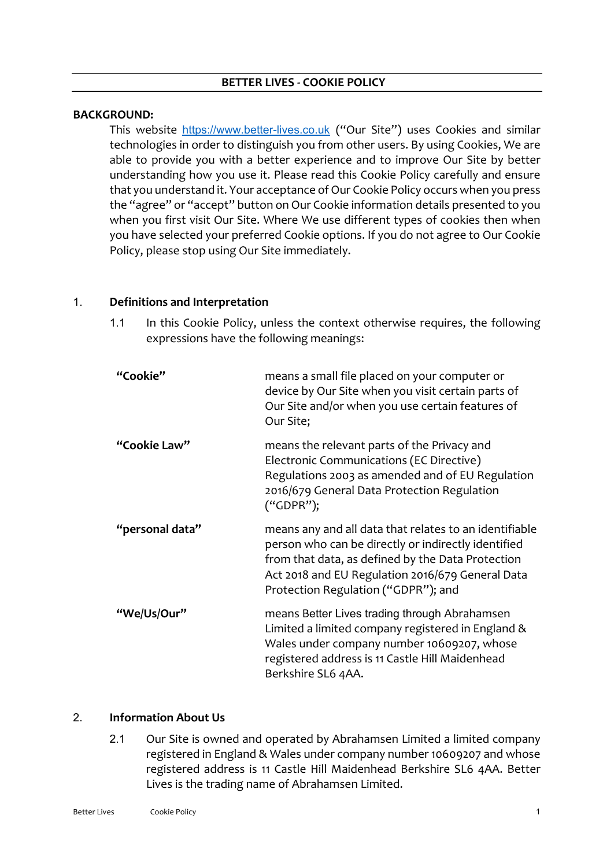### **BETTER LIVES - COOKIE POLICY**

#### **BACKGROUND:**

This website [https://www.better-lives.co.uk](https://www.better-lives.co.uk/) ("Our Site") uses Cookies and similar technologies in order to distinguish you from other users. By using Cookies, We are able to provide you with a better experience and to improve Our Site by better understanding how you use it. Please read this Cookie Policy carefully and ensure that you understand it. Your acceptance of Our Cookie Policy occurs when you press the "agree" or "accept" button on Our Cookie information details presented to you when you first visit Our Site. Where We use different types of cookies then when you have selected your preferred Cookie options. If you do not agree to Our Cookie Policy, please stop using Our Site immediately.

### 1. **Definitions and Interpretation**

1.1 In this Cookie Policy, unless the context otherwise requires, the following expressions have the following meanings:

| "Cookie"        | means a small file placed on your computer or<br>device by Our Site when you visit certain parts of<br>Our Site and/or when you use certain features of<br>Our Site;                                                                                          |
|-----------------|---------------------------------------------------------------------------------------------------------------------------------------------------------------------------------------------------------------------------------------------------------------|
| "Cookie Law"    | means the relevant parts of the Privacy and<br>Electronic Communications (EC Directive)<br>Regulations 2003 as amended and of EU Regulation<br>2016/679 General Data Protection Regulation<br>("GDPR");                                                       |
| "personal data" | means any and all data that relates to an identifiable<br>person who can be directly or indirectly identified<br>from that data, as defined by the Data Protection<br>Act 2018 and EU Regulation 2016/679 General Data<br>Protection Regulation ("GDPR"); and |
| "We/Us/Our"     | means Better Lives trading through Abrahamsen<br>Limited a limited company registered in England &<br>Wales under company number 10609207, whose<br>registered address is 11 Castle Hill Maidenhead<br>Berkshire SL6 4AA.                                     |

### 2. **Information About Us**

2.1 Our Site is owned and operated by Abrahamsen Limited a limited company registered in England & Wales under company number 10609207 and whose registered address is 11 Castle Hill Maidenhead Berkshire SL6 4AA. Better Lives is the trading name of Abrahamsen Limited.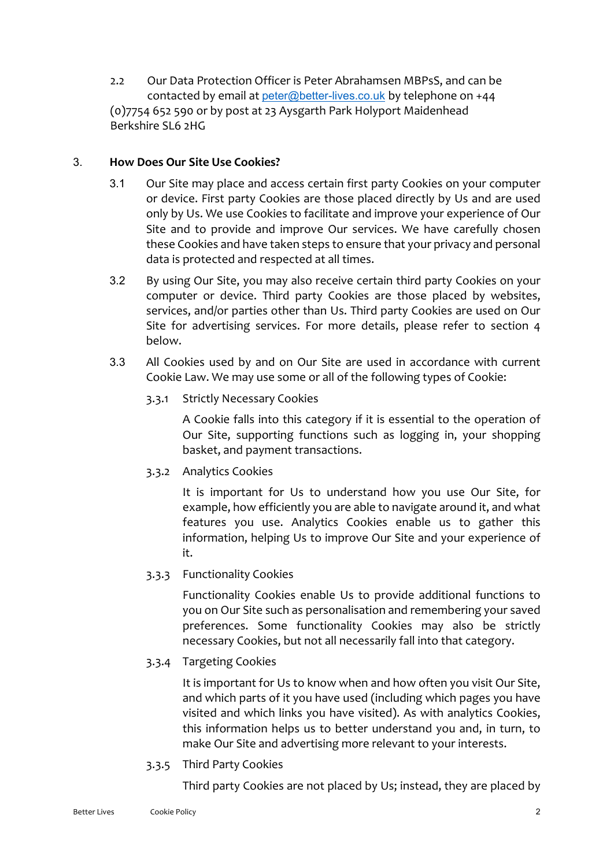2.2 Our Data Protection Officer is Peter Abrahamsen MBPsS, and can be contacted by email at [peter@better-lives.co.uk](mailto:peter@better-lives.co.uk) by telephone on +44 (0)7754 652 590 or by post at 23 Aysgarth Park Holyport Maidenhead Berkshire SL6 2HG

## 3. **How Does Our Site Use Cookies?**

- 3.1 Our Site may place and access certain first party Cookies on your computer or device. First party Cookies are those placed directly by Us and are used only by Us. We use Cookies to facilitate and improve your experience of Our Site and to provide and improve Our services. We have carefully chosen these Cookies and have taken steps to ensure that your privacy and personal data is protected and respected at all times.
- 3.2 By using Our Site, you may also receive certain third party Cookies on your computer or device. Third party Cookies are those placed by websites, services, and/or parties other than Us. Third party Cookies are used on Our Site for advertising services. For more details, please refer to section 4 below.
- 3.3 All Cookies used by and on Our Site are used in accordance with current Cookie Law. We may use some or all of the following types of Cookie:
	- 3.3.1 Strictly Necessary Cookies

A Cookie falls into this category if it is essential to the operation of Our Site, supporting functions such as logging in, your shopping basket, and payment transactions.

3.3.2 Analytics Cookies

It is important for Us to understand how you use Our Site, for example, how efficiently you are able to navigate around it, and what features you use. Analytics Cookies enable us to gather this information, helping Us to improve Our Site and your experience of it.

3.3.3 Functionality Cookies

Functionality Cookies enable Us to provide additional functions to you on Our Site such as personalisation and remembering your saved preferences. Some functionality Cookies may also be strictly necessary Cookies, but not all necessarily fall into that category.

# 3.3.4 Targeting Cookies

It is important for Us to know when and how often you visit Our Site, and which parts of it you have used (including which pages you have visited and which links you have visited). As with analytics Cookies, this information helps us to better understand you and, in turn, to make Our Site and advertising more relevant to your interests.

3.3.5 Third Party Cookies

Third party Cookies are not placed by Us; instead, they are placed by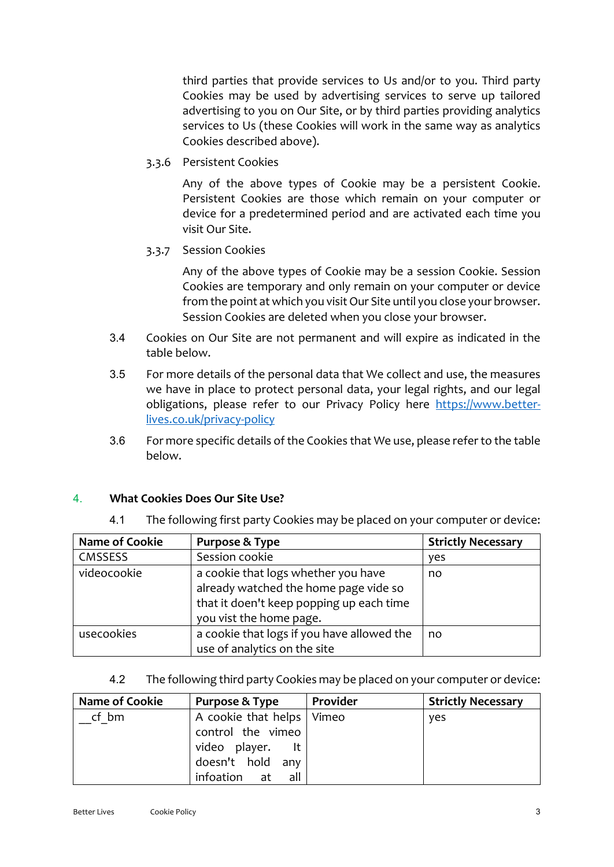third parties that provide services to Us and/or to you. Third party Cookies may be used by advertising services to serve up tailored advertising to you on Our Site, or by third parties providing analytics services to Us (these Cookies will work in the same way as analytics Cookies described above).

3.3.6 Persistent Cookies

Any of the above types of Cookie may be a persistent Cookie. Persistent Cookies are those which remain on your computer or device for a predetermined period and are activated each time you visit Our Site.

3.3.7 Session Cookies

Any of the above types of Cookie may be a session Cookie. Session Cookies are temporary and only remain on your computer or device from the point at which you visit Our Site until you close your browser. Session Cookies are deleted when you close your browser.

- 3.4 Cookies on Our Site are not permanent and will expire as indicated in the table below.
- 3.5 For more details of the personal data that We collect and use, the measures we have in place to protect personal data, your legal rights, and our legal obligations, please refer to our Privacy Policy here [https://www.better](https://www.better-lives.co.uk/privacy-policy)[lives.co.uk/privacy-policy](https://www.better-lives.co.uk/privacy-policy)
- 3.6 For more specific details of the Cookies that We use, please refer to the table below.

# 4. **What Cookies Does Our Site Use?**

| <b>Name of Cookie</b> | Purpose & Type                             | <b>Strictly Necessary</b> |
|-----------------------|--------------------------------------------|---------------------------|
| <b>CMSSESS</b>        | Session cookie                             | yes                       |
| videocookie           | a cookie that logs whether you have        | no                        |
|                       | already watched the home page vide so      |                           |
|                       | that it doen't keep popping up each time   |                           |
|                       | you vist the home page.                    |                           |
| usecookies            | a cookie that logs if you have allowed the | no                        |
|                       | use of analytics on the site               |                           |

4.1 The following first party Cookies may be placed on your computer or device:

4.2 The following third party Cookies may be placed on your computer or device:

| Name of Cookie | Purpose & Type              | Provider | <b>Strictly Necessary</b> |
|----------------|-----------------------------|----------|---------------------------|
| cf bm          | A cookie that helps   Vimeo |          | yes                       |
|                | control the vimeo           |          |                           |
|                | video player.<br>It         |          |                           |
|                | doesn't hold any            |          |                           |
|                | infoation<br>all<br>at      |          |                           |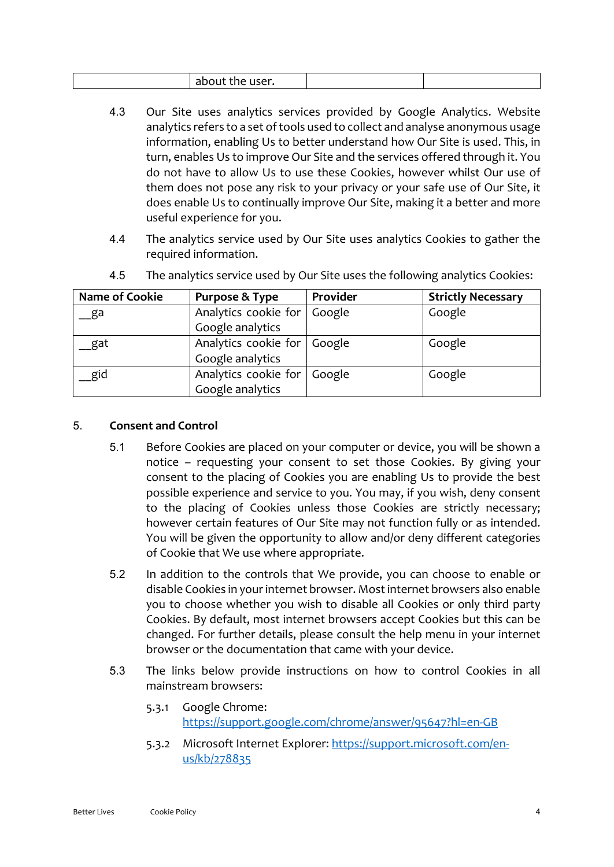| HSP<br>$\sim$ h<br>.<br>- 1.<br>٦ρ<br>,,,,<br>$\sim$ use $\sim$<br>avvut |  |  |
|--------------------------------------------------------------------------|--|--|
|--------------------------------------------------------------------------|--|--|

- 4.3 Our Site uses analytics services provided by Google Analytics. Website analytics refers to a set of tools used to collect and analyse anonymous usage information, enabling Us to better understand how Our Site is used. This, in turn, enables Us to improve Our Site and the services offered through it. You do not have to allow Us to use these Cookies, however whilst Our use of them does not pose any risk to your privacy or your safe use of Our Site, it does enable Us to continually improve Our Site, making it a better and more useful experience for you.
- 4.4 The analytics service used by Our Site uses analytics Cookies to gather the required information.

| <b>Name of Cookie</b> | Purpose & Type                | Provider | <b>Strictly Necessary</b> |
|-----------------------|-------------------------------|----------|---------------------------|
| ga                    | Analytics cookie for          | Google   | Google                    |
|                       | Google analytics              |          |                           |
| gat                   | Analytics cookie for   Google |          | Google                    |
|                       | Google analytics              |          |                           |
| gid                   | Analytics cookie for   Google |          | Google                    |
|                       | Google analytics              |          |                           |

4.5 The analytics service used by Our Site uses the following analytics Cookies:

## 5. **Consent and Control**

- 5.1 Before Cookies are placed on your computer or device, you will be shown a notice – requesting your consent to set those Cookies. By giving your consent to the placing of Cookies you are enabling Us to provide the best possible experience and service to you. You may, if you wish, deny consent to the placing of Cookies unless those Cookies are strictly necessary; however certain features of Our Site may not function fully or as intended. You will be given the opportunity to allow and/or deny different categories of Cookie that We use where appropriate.
- 5.2 In addition to the controls that We provide, you can choose to enable or disable Cookies in your internet browser. Most internet browsers also enable you to choose whether you wish to disable all Cookies or only third party Cookies. By default, most internet browsers accept Cookies but this can be changed. For further details, please consult the help menu in your internet browser or the documentation that came with your device.
- 5.3 The links below provide instructions on how to control Cookies in all mainstream browsers:
	- 5.3.1 Google Chrome: <https://support.google.com/chrome/answer/95647?hl=en-GB>
	- 5.3.2 Microsoft Internet Explorer: [https://support.microsoft.com/en](https://support.microsoft.com/en-us/kb/278835)[us/kb/278835](https://support.microsoft.com/en-us/kb/278835)